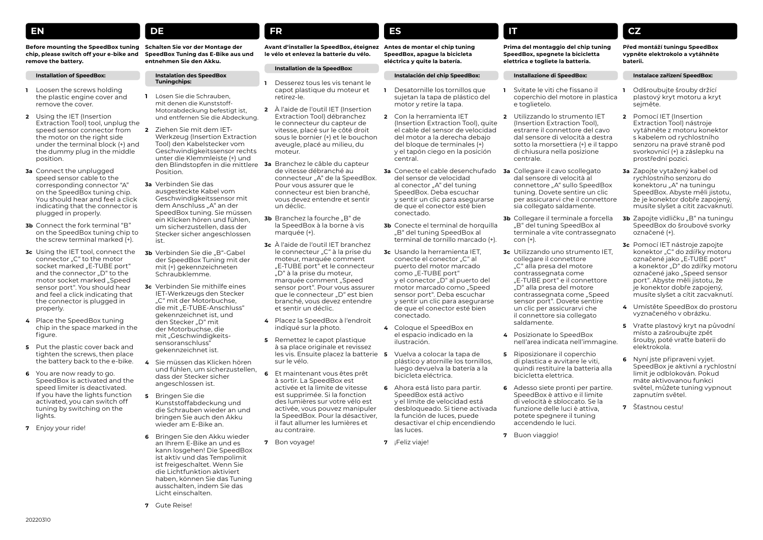## **EN**

#### **Before mounting the SpeedBox tuning Schalten Sie vor der Montage der chip, please switch off your e-bike and remove the battery.**

#### **Installation of SpeedBox:**

- **1** Loosen the screws holding the plastic engine cover and remove the cover.
- **2** Using the IET (Insertion Extraction Tool) tool, unplug the speed sensor connector from the motor on the right side under the terminal block (+) and the dummy plug in the middle position.
- **3a** Connect the unplugged speed sensor cable to the corresponding connector "A" on the SpeedBox tuning chip. You should hear and feel a click indicating that the connector is plugged in properly.
- **3b** Connect the fork terminal "B" on the SpeedBox tuning chip to the screw terminal marked (+).
- **3c** Using the IET tool, connect the connector "C" to the motor socket marked "E-TUBE port" and the connector "D" to the motor socket marked "Speed sensor port". You should hear and feel a click indicating that the connector is plugged in properly.
- **4** Place the SpeedBox tuning chip in the space marked in the figure.
- **5** Put the plastic cover back and tighten the screws, then place the battery back to the e-bike.
- **6** You are now ready to go. SpeedBox is activated and the speed limiter is deactivated. If you have the lights function activated, you can switch off tuning by switching on the lights.
- **7** Enjoy your ride!

**SpeedBox Tuning das E-Bike aus und entnehmen Sie den Akku.**

#### **Instalation des SpeedBox Tuningchips:**

**DE**

- **1** Lösen Sie die Schrauben, mit denen die Kunststoff-Motorabdeckung befestigt ist, und entfernen Sie die Abdeckung.
- **2** Ziehen Sie mit dem IET-Werkzeug (Insertion Extraction Tool) den Kabelstecker vom Geschwindigkeitssensor rechts unter die Klemmleiste (+) und den Blindstopfen in die mittlere **3a** Branchez le câble du capteur Position.
- **3a** Verbinden Sie das ausgesteckte Kabel vom Geschwindigkeitssensor mit dem Anschluss "A" an der SpeedBox tuning. Sie müssen ein Klicken hören und fühlen, um sicherzustellen, dass der Stecker sicher angeschlossen ist.
- **3b** Verbinden Sie die "B"-Gabel der SpeedBox Tuning mit der mit (+) gekennzeichneten Schraubklemme.
- **3c** Verbinden Sie mithilfe eines IET-Werkzeugs den Stecker "C" mit der Motorbuchse. die mit "E-TUBE-Anschluss" gekennzeichnet ist, und den Stecker "D" mit der Motorbuchse, die mit "Geschwindigkeitssensoranschluss" gekennzeichnet ist.
- **4** Sie müssen das Klicken hören und fühlen, um sicherzustellen, dass der Stecker sicher angeschlossen ist.
- **5** Bringen Sie die Kunststoffabdeckung und die Schrauben wieder an und bringen Sie auch den Akku wieder am E-Bike an.
- **6** Bringen Sie den Akku wieder an Ihrem E-Bike an und es kann losgehen! Die SpeedBox ist aktiv und das Tempolimit ist freigeschaltet. Wenn Sie die Lichtfunktion aktiviert haben, können Sie das Tuning ausschalten, indem Sie das Licht einschalten.

**Avant d'installer la SpeedBox, éteignez Antes de montar el chip tuning le vélo et enlevez la batterie du vélo.**

## **Installation de la SpeedBox:**

**FR**

- **1** Desserez tous les vis tenant le capot plastique du moteur et retirez-le.
- **2** À l'aide de l'outil IET (Insertion Extraction Tool) débranchez le connecteur du capteur de vitesse, placé sur le côté droit sous le bornier (+) et le bouchon aveugle, placé au milieu, du moteur.
- de vitesse débranché au connecteur "A" de la SpeedBox. Pour vous assurer que le connecteur est bien branché, vous devez entendre et sentir un déclic.
- **3b** Branchez la fourche "B" de la SpeedBox à la borne à vis marquée (+).
- **3c** À l'aide de l'outil IET branchez le connecteur "C" à la prise du moteur, marquée comment "E-TUBE port" et le connecteur "D" à la prise du moteur, marquée comment "Speed sensor port". Pour vous assurer que le connecteur "D" est bien branché, vous devez entendre et sentir un déclic.
- **4** Placez la SpeedBox à l'endroit indiqué sur la photo.
- **5** Remettez le capot plastique à sa place originale et revissez les vis. Ensuite placez la batterie 5 sur le vélo.
- **6** Et maintenant vous êtes prêt à sortir. La SpeedBox est activée et la limite de vitesse est supprimée. Si la fonction des lumières sur votre vélo est activée, vous pouvez manipuler la SpeedBox. Pour la désactiver, il faut allumer les lumières et au contraire.
- **7** Bon voyage!

# **SpeedBox, apague la bicicleta eléctrica y quite la batería.**

**ES**

#### **Instalación del chip SpeedBox:**

- **1** Desatornille los tornillos que sujetan la tapa de plástico del motor y retire la tapa.
- **2** Con la herramienta IET (Insertion Extraction Tool), quite el cable del sensor de velocidad del motor a la derecha debajo del bloque de terminales (+) y el tapón ciego en la posición central.
- **3a** Conecte el cable desenchufado **3a** Collegare il cavo scollegato del sensor de velocidad al conector "A" del tuning SpeedBox. Deba escuchar y sentir un clic para asegurarse de que el conector esté bien conectado.
- **3b** Conecte el terminal de horquilla "B" del tuning SpeedBox al terminal de tornillo marcado (+).
- **3c** Usando la herramienta IET, conecte el conector "C" al puerto del motor marcado como "E-TUBE port" y el conector "D" al puerto del motor marcado como "Speed sensor port". Deba escuchar y sentir un clic para asegurarse de que el conector esté bien conectado.
- **4** Coloque el SpeedBox en el espacio indicado en la ilustración.
- **5** Vuelva a colocar la tapa de plástico y atornille los tornillos, luego devuelva la batería a la bicicleta eléctrica.
- **6** Ahora está listo para partir. SpeedBox está activo y el límite de velocidad está desbloqueado. Si tiene activada la función de luces, puede desactivar el chip encendiendo las luces.
- **7** ¡Feliz viaje!

### **Prima del montaggio del chip tuning SpeedBox, spegnete la bicicletta elettrica e togliete la batteria.**

#### **Installazione di SpeedBox:**

**IT**

- **1** Svitate le viti che fissano il coperchio del motore in plastica e toglietelo.
- **2** Utilizzando lo strumento IET (Insertion Extraction Tool), estrarre il connettore del cavo dal sensore di velocità a destra sotto la morsettiera (+) e il tappo di chiusura nella posizione centrale.
- dal sensore di velocità al connettore ..A" sullo SpeedBox tuning. Dovete sentire un clic per assicurarvi che il connettore sia collegato saldamente.
- **3b** Collegare il terminale a forcella ..B" del tuning SpeedBox al terminale a vite contrassegnato con (+).
- **3c** Utilizzando uno strumento IET, collegare il connettore ..C" alla presa del motore contrassegnata come "E-TUBE port" e il connettore ..D" alla presa del motore contrassegnata come "Speed sensor port". Dovete sentire un clic per assicurarvi che il connettore sia collegato saldamente.
- **4** Posizionate lo SpeedBox nell'area indicata nell'immagine.
- **5** Riposizionare il coperchio di plastica e avvitare le viti, quindi restituire la batteria alla bicicletta elettrica.
- **6** Adesso siete pronti per partire. SpeedBox è attivo e il limite di velocità è sbloccato. Se la funzione delle luci è attiva, potete spegnere il tuning accendendo le luci.
- **7** Buon viaggio!

#### **Před montáží tuningu SpeedBox vypněte elektrokolo a vytáhněte baterii.**

#### **Instalace zařízení SpeedBox:**

- **1** Odšroubujte šrouby držící plastový kryt motoru a kryt sejměte.
- **2** Pomocí IET (Insertion Extraction Tool) nástroje vytáhněte z motoru konektor s kabelem od rychlostního senzoru na pravé straně pod svorkovnicí (+) a záslepku na prostřední pozici.
- **3a** Zapojte vytažený kabel od rychlostního senzoru do konektoru "A" na tuningu SpeedBox. Abyste měli jistotu, že je konektor dobře zapojený, musíte slyšet a cítit zacvaknutí.
- **3b** Zapojte vidličku "B" na tuningu SpeedBox do šroubové svorky označené (+).
- **3c** Pomocí IET nástroje zapojte konektor "C" do zdířky motoru označené jako "E-TUBE port" a konektor "D" do zdířky motoru označené jako "Speed sensor port". Abyste měli jistotu, že je konektor dobře zapojený, musíte slyšet a cítit zacvaknutí.
- **4** Umístěte SpeedBox do prostoru vyznačeného v obrázku.
- **5** Vraťte plastový kryt na původní místo a zašroubujte zpět šrouby, poté vraťte baterii do elektrokola.
- **6** Nyní jste připraveni vyjet. SpeedBox je aktivní a rychlostní limit je odblokován. Pokud máte aktivovanou funkci světel, můžete tuning vypnout zapnutím světel.
- **7** Šťastnou cestu!

**7** Gute Reise!

**CZ**